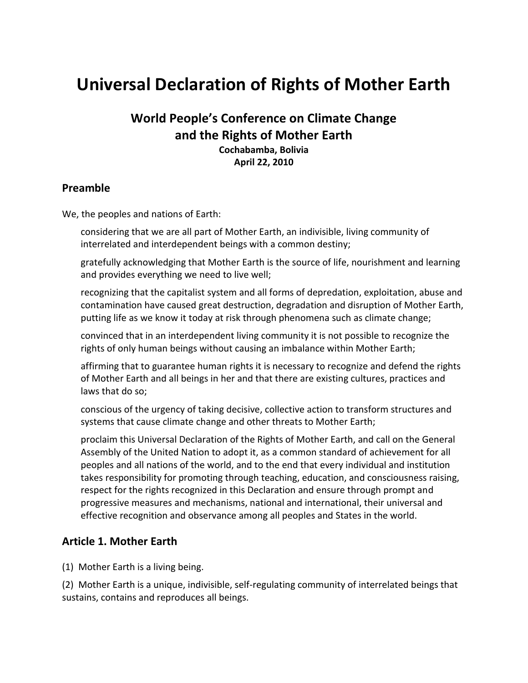# **Universal Declaration of Rights of Mother Earth**

## **[World People's Conference on Climate Change](http://pwccc.wordpress.com/programa/) [and the Rights of Mother Earth](http://pwccc.wordpress.com/programa/) Cochabamba, Bolivia April 22, 2010**

#### **Preamble**

We, the peoples and nations of Earth:

considering that we are all part of Mother Earth, an indivisible, living community of interrelated and interdependent beings with a common destiny;

gratefully acknowledging that Mother Earth is the source of life, nourishment and learning and provides everything we need to live well;

recognizing that the capitalist system and all forms of depredation, exploitation, abuse and contamination have caused great destruction, degradation and disruption of Mother Earth, putting life as we know it today at risk through phenomena such as climate change;

convinced that in an interdependent living community it is not possible to recognize the rights of only human beings without causing an imbalance within Mother Earth;

affirming that to guarantee human rights it is necessary to recognize and defend the rights of Mother Earth and all beings in her and that there are existing cultures, practices and laws that do so;

conscious of the urgency of taking decisive, collective action to transform structures and systems that cause climate change and other threats to Mother Earth;

proclaim this Universal Declaration of the Rights of Mother Earth, and call on the General Assembly of the United Nation to adopt it, as a common standard of achievement for all peoples and all nations of the world, and to the end that every individual and institution takes responsibility for promoting through teaching, education, and consciousness raising, respect for the rights recognized in this Declaration and ensure through prompt and progressive measures and mechanisms, national and international, their universal and effective recognition and observance among all peoples and States in the world.

### **Article 1. Mother Earth**

(1) Mother Earth is a living being.

(2) Mother Earth is a unique, indivisible, self-regulating community of interrelated beings that sustains, contains and reproduces all beings.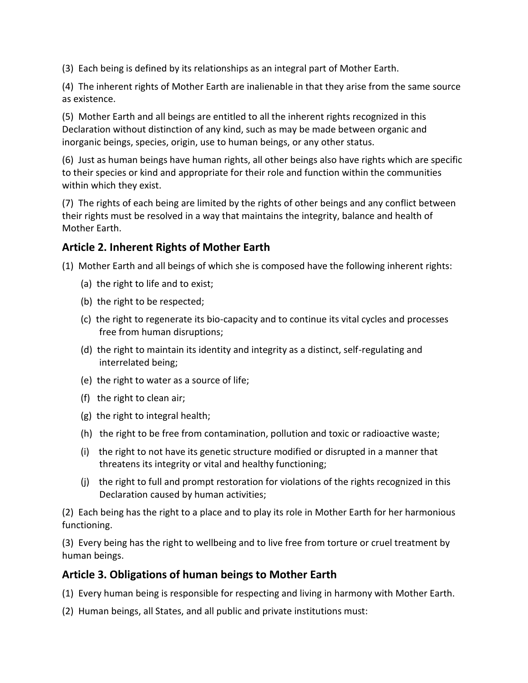(3) Each being is defined by its relationships as an integral part of Mother Earth.

(4) The inherent rights of Mother Earth are inalienable in that they arise from the same source as existence.

(5) Mother Earth and all beings are entitled to all the inherent rights recognized in this Declaration without distinction of any kind, such as may be made between organic and inorganic beings, species, origin, use to human beings, or any other status.

(6) Just as human beings have human rights, all other beings also have rights which are specific to their species or kind and appropriate for their role and function within the communities within which they exist.

(7) The rights of each being are limited by the rights of other beings and any conflict between their rights must be resolved in a way that maintains the integrity, balance and health of Mother Earth.

## **Article 2. Inherent Rights of Mother Earth**

(1) Mother Earth and all beings of which she is composed have the following inherent rights:

- (a) the right to life and to exist;
- (b) the right to be respected;
- (c) the right to regenerate its bio-capacity and to continue its vital cycles and processes free from human disruptions;
- (d) the right to maintain its identity and integrity as a distinct, self-regulating and interrelated being;
- (e) the right to water as a source of life;
- (f) the right to clean air;
- (g) the right to integral health;
- (h) the right to be free from contamination, pollution and toxic or radioactive waste;
- (i) the right to not have its genetic structure modified or disrupted in a manner that threatens its integrity or vital and healthy functioning;
- (j) the right to full and prompt restoration for violations of the rights recognized in this Declaration caused by human activities;

(2) Each being has the right to a place and to play its role in Mother Earth for her harmonious functioning.

(3) Every being has the right to wellbeing and to live free from torture or cruel treatment by human beings.

## **Article 3. Obligations of human beings to Mother Earth**

- (1) Every human being is responsible for respecting and living in harmony with Mother Earth.
- (2) Human beings, all States, and all public and private institutions must: